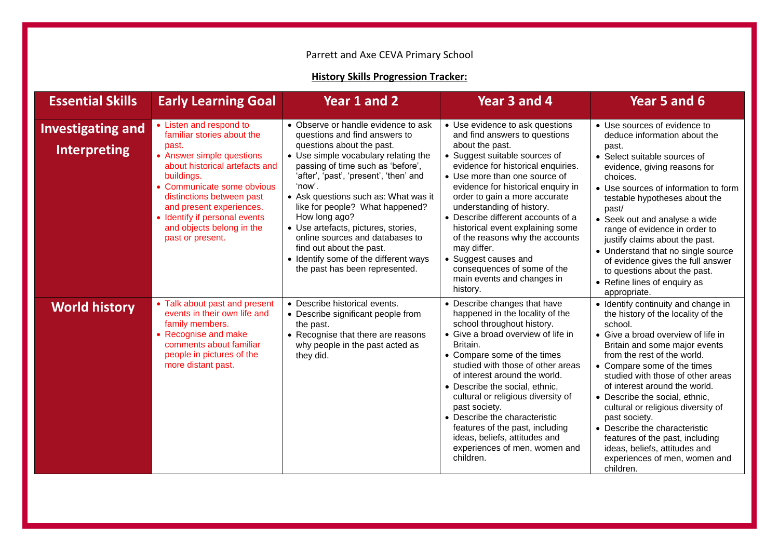## Parrett and Axe CEVA Primary School

## **History Skills Progression Tracker:**

| <b>Essential Skills</b>                         | <b>Early Learning Goal</b>                                                                                                                                                                                                                                                                                           | Year 1 and 2                                                                                                                                                                                                                                                                                                                                                                                                                                                                                                    | Year 3 and 4                                                                                                                                                                                                                                                                                                                                                                                                                                                                                                                 | Year 5 and 6                                                                                                                                                                                                                                                                                                                                                                                                                                                                                                                                |
|-------------------------------------------------|----------------------------------------------------------------------------------------------------------------------------------------------------------------------------------------------------------------------------------------------------------------------------------------------------------------------|-----------------------------------------------------------------------------------------------------------------------------------------------------------------------------------------------------------------------------------------------------------------------------------------------------------------------------------------------------------------------------------------------------------------------------------------------------------------------------------------------------------------|------------------------------------------------------------------------------------------------------------------------------------------------------------------------------------------------------------------------------------------------------------------------------------------------------------------------------------------------------------------------------------------------------------------------------------------------------------------------------------------------------------------------------|---------------------------------------------------------------------------------------------------------------------------------------------------------------------------------------------------------------------------------------------------------------------------------------------------------------------------------------------------------------------------------------------------------------------------------------------------------------------------------------------------------------------------------------------|
| <b>Investigating and</b><br><b>Interpreting</b> | • Listen and respond to<br>familiar stories about the<br>past.<br>• Answer simple questions<br>about historical artefacts and<br>buildings.<br>• Communicate some obvious<br>distinctions between past<br>and present experiences.<br>• Identify if personal events<br>and objects belong in the<br>past or present. | • Observe or handle evidence to ask<br>questions and find answers to<br>questions about the past.<br>• Use simple vocabulary relating the<br>passing of time such as 'before',<br>'after', 'past', 'present', 'then' and<br>'now'.<br>• Ask questions such as: What was it<br>like for people? What happened?<br>How long ago?<br>• Use artefacts, pictures, stories,<br>online sources and databases to<br>find out about the past.<br>• Identify some of the different ways<br>the past has been represented. | • Use evidence to ask questions<br>and find answers to questions<br>about the past.<br>• Suggest suitable sources of<br>evidence for historical enquiries.<br>• Use more than one source of<br>evidence for historical enquiry in<br>order to gain a more accurate<br>understanding of history.<br>• Describe different accounts of a<br>historical event explaining some<br>of the reasons why the accounts<br>may differ.<br>• Suggest causes and<br>consequences of some of the<br>main events and changes in<br>history. | • Use sources of evidence to<br>deduce information about the<br>past.<br>• Select suitable sources of<br>evidence, giving reasons for<br>choices.<br>• Use sources of information to form<br>testable hypotheses about the<br>past/<br>• Seek out and analyse a wide<br>range of evidence in order to<br>justify claims about the past.<br>• Understand that no single source<br>of evidence gives the full answer<br>to questions about the past.<br>• Refine lines of enquiry as<br>appropriate.                                          |
| <b>World history</b>                            | • Talk about past and present<br>events in their own life and<br>family members.<br>• Recognise and make<br>comments about familiar<br>people in pictures of the<br>more distant past.                                                                                                                               | • Describe historical events.<br>• Describe significant people from<br>the past.<br>• Recognise that there are reasons<br>why people in the past acted as<br>they did.                                                                                                                                                                                                                                                                                                                                          | • Describe changes that have<br>happened in the locality of the<br>school throughout history.<br>• Give a broad overview of life in<br>Britain.<br>• Compare some of the times<br>studied with those of other areas<br>of interest around the world.<br>• Describe the social, ethnic,<br>cultural or religious diversity of<br>past society.<br>• Describe the characteristic<br>features of the past, including<br>ideas, beliefs, attitudes and<br>experiences of men, women and<br>children.                             | • Identify continuity and change in<br>the history of the locality of the<br>school.<br>• Give a broad overview of life in<br>Britain and some major events<br>from the rest of the world.<br>• Compare some of the times<br>studied with those of other areas<br>of interest around the world.<br>• Describe the social, ethnic,<br>cultural or religious diversity of<br>past society.<br>• Describe the characteristic<br>features of the past, including<br>ideas, beliefs, attitudes and<br>experiences of men, women and<br>children. |